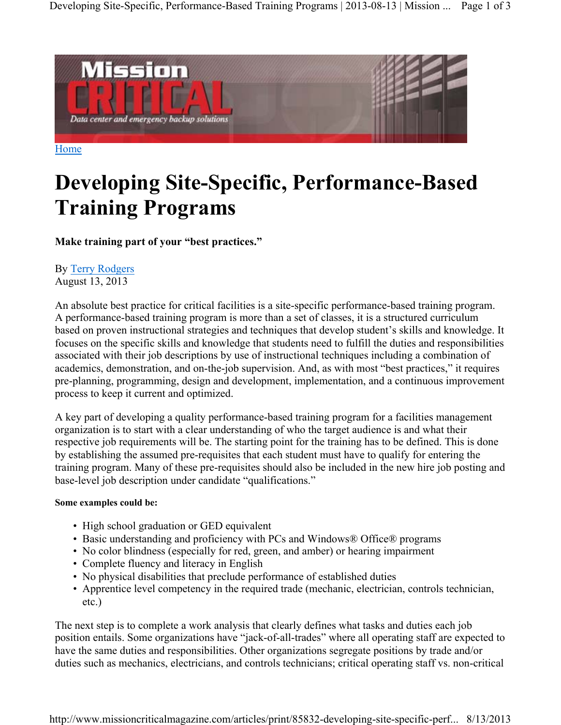

Home

## **Developing Site-Specific, Performance-Based Training Programs**

**Make training part of your "best practices."**

## By Terry Rodgers August 13, 2013

An absolute best practice for critical facilities is a site-specific performance-based training program. A performance-based training program is more than a set of classes, it is a structured curriculum based on proven instructional strategies and techniques that develop student's skills and knowledge. It focuses on the specific skills and knowledge that students need to fulfill the duties and responsibilities associated with their job descriptions by use of instructional techniques including a combination of academics, demonstration, and on-the-job supervision. And, as with most "best practices," it requires pre-planning, programming, design and development, implementation, and a continuous improvement process to keep it current and optimized.

A key part of developing a quality performance-based training program for a facilities management organization is to start with a clear understanding of who the target audience is and what their respective job requirements will be. The starting point for the training has to be defined. This is done by establishing the assumed pre-requisites that each student must have to qualify for entering the training program. Many of these pre-requisites should also be included in the new hire job posting and base-level job description under candidate "qualifications."

## **Some examples could be:**

- High school graduation or GED equivalent
- Basic understanding and proficiency with PCs and Windows® Office® programs
- No color blindness (especially for red, green, and amber) or hearing impairment
- Complete fluency and literacy in English
- No physical disabilities that preclude performance of established duties
- Apprentice level competency in the required trade (mechanic, electrician, controls technician, etc.)

The next step is to complete a work analysis that clearly defines what tasks and duties each job position entails. Some organizations have "jack-of-all-trades" where all operating staff are expected to have the same duties and responsibilities. Other organizations segregate positions by trade and/or duties such as mechanics, electricians, and controls technicians; critical operating staff vs. non-critical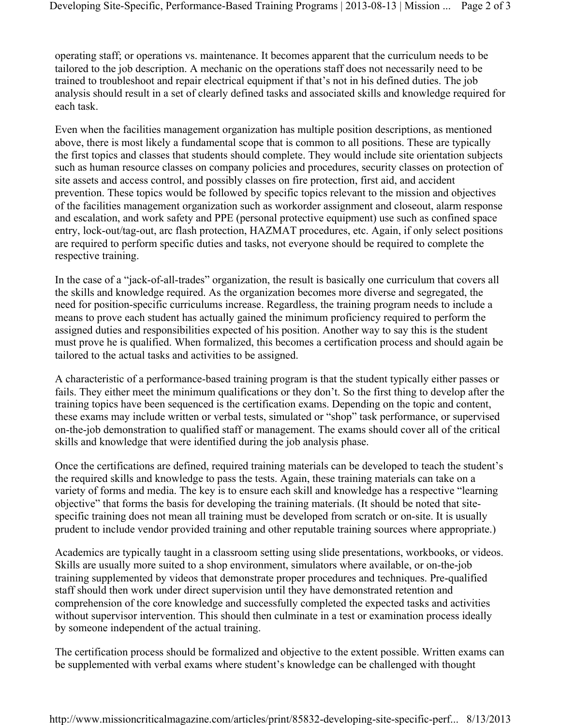operating staff; or operations vs. maintenance. It becomes apparent that the curriculum needs to be tailored to the job description. A mechanic on the operations staff does not necessarily need to be trained to troubleshoot and repair electrical equipment if that's not in his defined duties. The job analysis should result in a set of clearly defined tasks and associated skills and knowledge required for each task.

Even when the facilities management organization has multiple position descriptions, as mentioned above, there is most likely a fundamental scope that is common to all positions. These are typically the first topics and classes that students should complete. They would include site orientation subjects such as human resource classes on company policies and procedures, security classes on protection of site assets and access control, and possibly classes on fire protection, first aid, and accident prevention. These topics would be followed by specific topics relevant to the mission and objectives of the facilities management organization such as workorder assignment and closeout, alarm response and escalation, and work safety and PPE (personal protective equipment) use such as confined space entry, lock-out/tag-out, arc flash protection, HAZMAT procedures, etc. Again, if only select positions are required to perform specific duties and tasks, not everyone should be required to complete the respective training.

In the case of a "jack-of-all-trades" organization, the result is basically one curriculum that covers all the skills and knowledge required. As the organization becomes more diverse and segregated, the need for position-specific curriculums increase. Regardless, the training program needs to include a means to prove each student has actually gained the minimum proficiency required to perform the assigned duties and responsibilities expected of his position. Another way to say this is the student must prove he is qualified. When formalized, this becomes a certification process and should again be tailored to the actual tasks and activities to be assigned.

A characteristic of a performance-based training program is that the student typically either passes or fails. They either meet the minimum qualifications or they don't. So the first thing to develop after the training topics have been sequenced is the certification exams. Depending on the topic and content, these exams may include written or verbal tests, simulated or "shop" task performance, or supervised on-the-job demonstration to qualified staff or management. The exams should cover all of the critical skills and knowledge that were identified during the job analysis phase.

Once the certifications are defined, required training materials can be developed to teach the student's the required skills and knowledge to pass the tests. Again, these training materials can take on a variety of forms and media. The key is to ensure each skill and knowledge has a respective "learning objective" that forms the basis for developing the training materials. (It should be noted that sitespecific training does not mean all training must be developed from scratch or on-site. It is usually prudent to include vendor provided training and other reputable training sources where appropriate.)

Academics are typically taught in a classroom setting using slide presentations, workbooks, or videos. Skills are usually more suited to a shop environment, simulators where available, or on-the-job training supplemented by videos that demonstrate proper procedures and techniques. Pre-qualified staff should then work under direct supervision until they have demonstrated retention and comprehension of the core knowledge and successfully completed the expected tasks and activities without supervisor intervention. This should then culminate in a test or examination process ideally by someone independent of the actual training.

The certification process should be formalized and objective to the extent possible. Written exams can be supplemented with verbal exams where student's knowledge can be challenged with thought